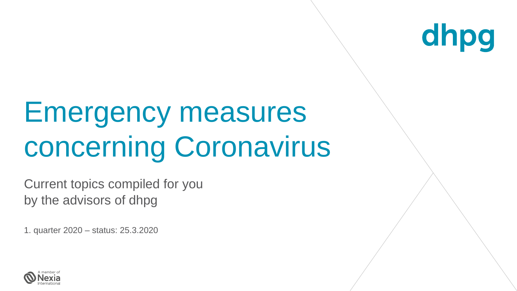

## Emergency measures concerning Coronavirus

Current topics compiled for you by the advisors of dhpg

1. quarter 2020 – status: 25.3.2020

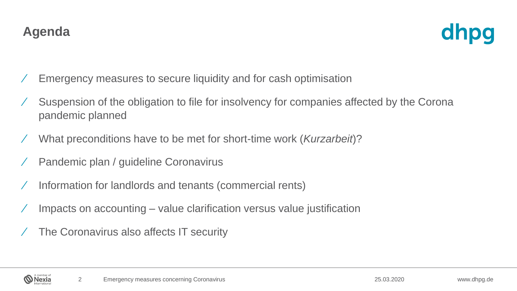## **Agenda**

Nexia

- ⁄ Emergency measures to secure liquidity and for cash optimisation
- ⁄ Suspension of the obligation to file for insolvency for companies affected by the Corona pandemic planned
- ⁄ What preconditions have to be met for short-time work (*Kurzarbeit*)?
- ⁄ Pandemic plan / guideline Coronavirus
- ⁄ Information for landlords and tenants (commercial rents)
- ⁄ Impacts on accounting value clarification versus value justification
- ⁄ The Coronavirus also affects IT security

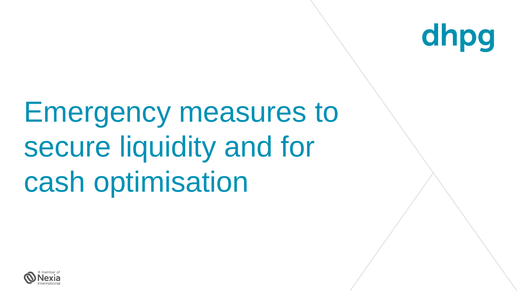

## Emergency measures to secure liquidity and for cash optimisation

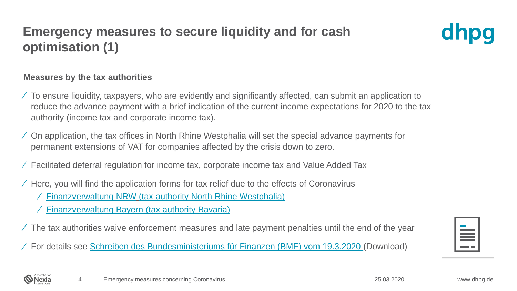## **Emergency measures to secure liquidity and for cash optimisation (1)**



#### **Measures by the tax authorities**

- ⁄ To ensure liquidity, taxpayers, who are evidently and significantly affected, can submit an application to reduce the advance payment with a brief indication of the current income expectations for 2020 to the tax authority (income tax and corporate income tax).
- ⁄ On application, the tax offices in North Rhine Westphalia will set the special advance payments for permanent extensions of VAT for companies affected by the crisis down to zero.
- ⁄ Facilitated deferral regulation for income tax, corporate income tax and Value Added Tax
- ⁄ Here, you will find the application forms for tax relief due to the effects of Coronavirus
	- ⁄ [Finanzverwaltung NRW](https://www.finanzverwaltung.nrw.de/de/steuererleichterungen-aufgrund-der-auswirkungen-des-coronavirus) (tax authority North Rhine Westphalia)
	- ⁄ [Finanzverwaltung Bayern](https://www.finanzamt.bayern.de/LfSt/) (tax authority Bavaria)
- ⁄ The tax authorities waive enforcement measures and late payment penalties until the end of the year

⁄ For details see [Schreiben des Bundesministeriums für Finanzen \(BMF\) vom 19.3.2020 \(](https://www.bundesfinanzministerium.de/Content/DE/Downloads/BMF_Schreiben/Weitere_Steuerthemen/Abgabenordnung/2020-03-19-steuerliche-massnahmen-zur-beruecksichtigung-der-auswirkungen-des-coronavirus.html?cms_pk_kwd=19.03.2020_Steuerliche+Ma%C3%9Fnahmen+zur+Ber%C3%BCcksichtigung+der+Auswirkungen+des+Coronavirus+COVID-19+SARS-CoV-2+&cms_pk_campaign=Newsletter-19.03.2020)Download)



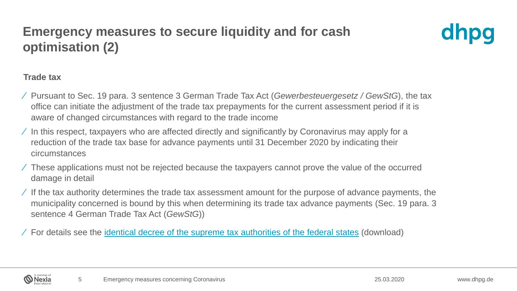### **Emergency measures to secure liquidity and for cash optimisation (2)**



#### **Trade tax**

- ⁄ Pursuant to Sec. 19 para. 3 sentence 3 German Trade Tax Act (*Gewerbesteuergesetz / GewStG*), the tax office can initiate the adjustment of the trade tax prepayments for the current assessment period if it is aware of changed circumstances with regard to the trade income
- ⁄ In this respect, taxpayers who are affected directly and significantly by Coronavirus may apply for a reduction of the trade tax base for advance payments until 31 December 2020 by indicating their circumstances
- ⁄ These applications must not be rejected because the taxpayers cannot prove the value of the occurred damage in detail
- $\angle$  If the tax authority determines the trade tax assessment amount for the purpose of advance payments, the municipality concerned is bound by this when determining its trade tax advance payments (Sec. 19 para. 3 sentence 4 German Trade Tax Act (*GewStG*))

⁄ For details see the identical decree of the supreme tax [authorities](https://www.finanzamt.bayern.de/Informationen/download.php?url=Informationen/Steuerinfos/Weitere_Themen/Coronavirus/2020-03-19-gewerbesteuerliche-massnahmen-zur-beruecksichtigung-der-auswirkungen-des-coronavirus-anlage.pdf) of the federal states (download)

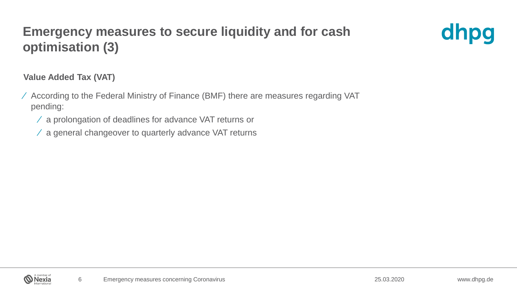### **Emergency measures to secure liquidity and for cash optimisation (3)**



#### **Value Added Tax (VAT)**

- ⁄ According to the Federal Ministry of Finance (BMF) there are measures regarding VAT pending:
	- ⁄ a prolongation of deadlines for advance VAT returns or
	- ⁄ a general changeover to quarterly advance VAT returns

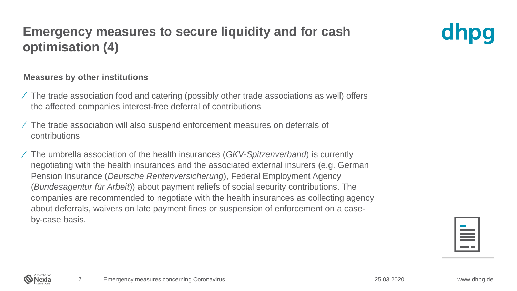### **Emergency measures to secure liquidity and for cash optimisation (4)**

#### **Measures by other institutions**

- ⁄ The trade association food and catering (possibly other trade associations as well) offers the affected companies interest-free deferral of contributions
- ⁄ The trade association will also suspend enforcement measures on deferrals of contributions
- ⁄ The umbrella association of the health insurances (*GKV-Spitzenverband*) is currently negotiating with the health insurances and the associated external insurers (e.g. German Pension Insurance (*Deutsche Rentenversicherung*), Federal Employment Agency (*Bundesagentur für Arbeit*)) about payment reliefs of social security contributions. The companies are recommended to negotiate with the health insurances as collecting agency about deferrals, waivers on late payment fines or suspension of enforcement on a caseby-case basis.



dhpq

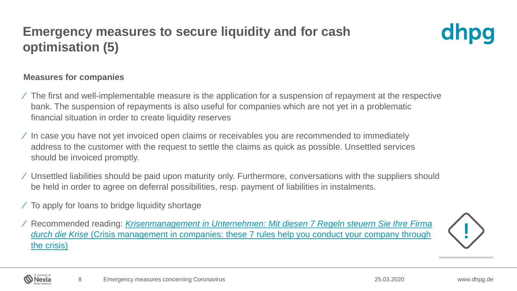### **Emergency measures to secure liquidity and for cash optimisation (5)**



#### **Measures for companies**

- ⁄ The first and well-implementable measure is the application for a suspension of repayment at the respective bank. The suspension of repayments is also useful for companies which are not yet in a problematic financial situation in order to create liquidity reserves
- ⁄ In case you have not yet invoiced open claims or receivables you are recommended to immediately address to the customer with the request to settle the claims as quick as possible. Unsettled services should be invoiced promptly.
- ⁄ Unsettled liabilities should be paid upon maturity only. Furthermore, conversations with the suppliers should be held in order to agree on deferral possibilities, resp. payment of liabilities in instalments.
- ⁄ To apply for loans to bridge liquidity shortage

⁄ Recommended reading: *[Krisenmanagement in Unternehmen: Mit diesen 7 Regeln steuern Sie Ihre Firma](https://www.impulse.de/management/unternehmensfuehrung/krisenmanagement-in-unternehmen/7484172.html?utm_source=unternehmernews&utm_medium=email&utm_campaign=unternehmernews&utm_content=https%3A%2F%2Fwww.impulse.de%2Fmanagement%2Funternehmensfuehrung%2Fkrisenmanagement-in-unternehmen%2F7484172.html)  durch die Krise* (Crisis management [in companies: these](https://www.impulse.de/management/unternehmensfuehrung/krisenmanagement-in-unternehmen/7484172.html?utm_source=unternehmernews&utm_medium=email&utm_campaign=unternehmernews&utm_content=https%3A%2F%2Fwww.impulse.de%2Fmanagement%2Funternehmensfuehrung%2Fkrisenmanagement-in-unternehmen%2F7484172.html) 7 rules help you conduct your company through the crisis)



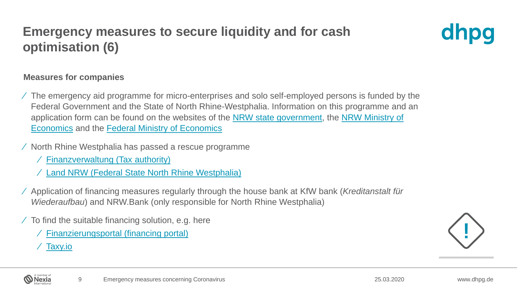## **Emergency measures to secure liquidity and for cash optimisation (6)**



#### **Measures for companies**

- ⁄ The emergency aid programme for micro-enterprises and solo self-employed persons is funded by the Federal Government and the State of North Rhine-Westphalia. Information on this programme and an [application form can be found on the websites of the](https://www.wirtschaft.nrw/coronavirus-informationen-ansprechpartner) [NRW state governmen](https://www.land.nrw/de/pressemitteilung/soforthilfen-fuer-kleinunternehmen-nordrhein-westfalen-ergaenzt-zuschuesse-des)[t, the NRW Ministry of](https://www.wirtschaft.nrw/coronavirus-informationen-ansprechpartner)  Economics and the [Federal Ministry of Economics](https://www.bundesfinanzministerium.de/Content/DE/Pressemitteilungen/Finanzpolitik/2020/03/2020-03-23-pm-Soforthilfefond-download.pdf?__blob=publicationFile&v=2)
- ⁄ North Rhine Westphalia has passed a rescue programme
	- ⁄ [Finanzverwaltung](https://www.finanzverwaltung.nrw.de/de/pressemitteilung/kabinett-bringt-nrw-rettungsschirm-auf-den-weg) (Tax authority)
	- ⁄ Land NRW [\(Federal State North Rhine Westphalia\)](https://www.land.nrw/sites/default/files/asset/document/20200319_massnahmenpaket_corona_final_mwide.pdf)
- ⁄ Application of financing measures regularly through the house bank at KfW bank (*Kreditanstalt für Wiederaufbau*) and NRW.Bank (only responsible for North Rhine Westphalia)
- $\angle$  To find the suitable financing solution, e.g. here
	- ⁄ [Finanzierungsportal](https://finanzierungsportal.ermoeglicher.de/) (financing portal)
	- ⁄ [Taxy.io](https://www.taxy.io/corona-hilfe-fuer-unternehmen)

Nexia

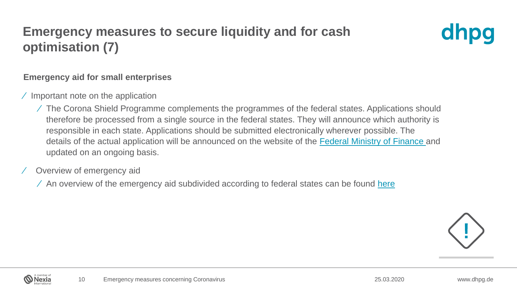## **Emergency measures to secure liquidity and for cash optimisation (7)**



#### **Emergency aid for small enterprises**

- ⁄ Important note on the application
	- ⁄ The Corona Shield Programme complements the programmes of the federal states. Applications should therefore be processed from a single source in the federal states. They will announce which authority is responsible in each state. Applications should be submitted electronically wherever possible. The details of the actual application will be announced on the website of the [Federal Ministry of Finance a](https://www.bundesfinanzministerium.de/Content/DE/Standardartikel/Themen/Schlaglichter/Corona-Schutzschild/2020-03-19-Milliardenhilfe-fuer-alle.html)nd updated on an ongoing basis.
- ⁄ Overview of emergency aid
	- $\angle$  An overview of the emergency aid subdivided according to federal states can be found [here](https://www.fuer-gruender.de/blog/corona-soforthilfen-bundeslaender/)





25.03.2020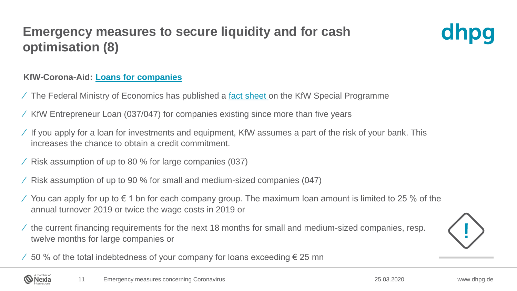## **Emergency measures to secure liquidity and for cash optimisation (8)**



#### **KfW-Corona-Aid: Loans for [companies](https://www.kfw.de/KfW-Konzern/Newsroom/Aktuelles/KfW-Corona-Hilfe-Unternehmen.html)**

- ⁄ The Federal Ministry of Economics has published a [fact sheet o](https://www.bmwi.de/Redaktion/DE/Downloads/J-L/kfw-sonderprogramm.pdf?__blob=publicationFile)n the KfW Special Programme
- ⁄ KfW Entrepreneur Loan (037/047) for companies existing since more than five years
- ⁄ If you apply for a loan for investments and equipment, KfW assumes a part of the risk of your bank. This increases the chance to obtain a credit commitment.
- ⁄ Risk assumption of up to 80 % for large companies (037)
- ⁄ Risk assumption of up to 90 % for small and medium-sized companies (047)
- ⁄ You can apply for up to  $\epsilon$  1 bn for each company group. The maximum loan amount is limited to 25 % of the annual turnover 2019 or twice the wage costs in 2019 or
- ⁄ the current financing requirements for the next 18 months for small and medium-sized companies, resp. twelve months for large companies or



 $\angle$  50 % of the total indebtedness of your company for loans exceeding € 25 mn

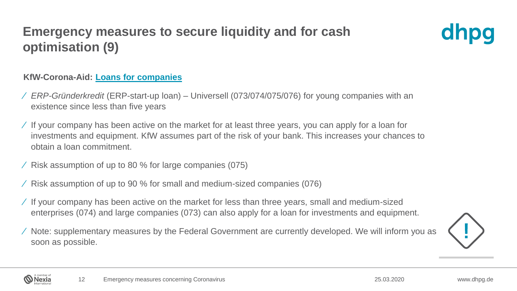## **Emergency measures to secure liquidity and for cash optimisation (9)**



#### **KfW-Corona-Aid: Loans for [companies](https://www.kfw.de/KfW-Konzern/Newsroom/Aktuelles/KfW-Corona-Hilfe-Unternehmen.html)**

- ⁄ *ERP-Gründerkredit* (ERP-start-up loan) Universell (073/074/075/076) for young companies with an existence since less than five years
- ⁄ If your company has been active on the market for at least three years, you can apply for a loan for investments and equipment. KfW assumes part of the risk of your bank. This increases your chances to obtain a loan commitment.
- ⁄ Risk assumption of up to 80 % for large companies (075)
- ⁄ Risk assumption of up to 90 % for small and medium-sized companies (076)
- ⁄ If your company has been active on the market for less than three years, small and medium-sized enterprises (074) and large companies (073) can also apply for a loan for investments and equipment.
- ⁄ Note: supplementary measures by the Federal Government are currently developed. We will inform you as soon as possible.



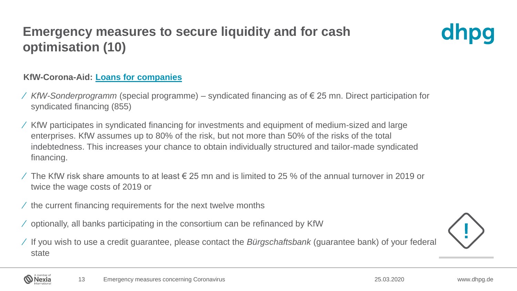## **Emergency measures to secure liquidity and for cash optimisation (10)**



#### **KfW-Corona-Aid: Loans for [companies](https://www.kfw.de/KfW-Konzern/Newsroom/Aktuelles/KfW-Corona-Hilfe-Unternehmen.html)**

- ⁄ *KfW-Sonderprogramm* (special programme) syndicated financing as of € 25 mn. Direct participation for syndicated financing (855)
- ⁄ KfW participates in syndicated financing for investments and equipment of medium-sized and large enterprises. KfW assumes up to 80% of the risk, but not more than 50% of the risks of the total indebtedness. This increases your chance to obtain individually structured and tailor-made syndicated financing.
- ⁄ The KfW risk share amounts to at least € 25 mn and is limited to 25 % of the annual turnover in 2019 or twice the wage costs of 2019 or
- $\prime$  the current financing requirements for the next twelve months
- ⁄ optionally, all banks participating in the consortium can be refinanced by KfW
- ⁄ If you wish to use a credit guarantee, please contact the *Bürgschaftsbank* (guarantee bank) of your federal state



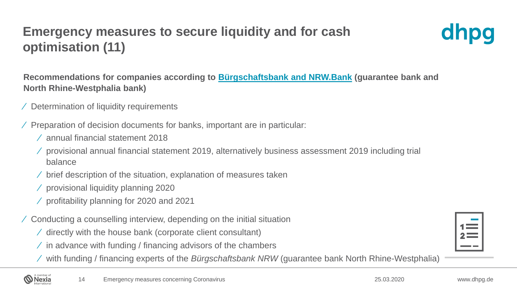## **Emergency measures to secure liquidity and for cash optimisation (11)**



**Recommendations for companies according to [Bürgschaftsbank](https://www.bb-nrw.de/de/aktuelles/news/detail/Buergschaftsbank-und-NRW.BANK-helfen-Unternehmen-bei-Finanzierungsbedarf-durch-die-Corona-Krise/) and NRW.Bank (guarantee bank and North Rhine-Westphalia bank)**

- ⁄ Determination of liquidity requirements
- ⁄ Preparation of decision documents for banks, important are in particular:
	- ⁄ annual financial statement 2018
	- ⁄ provisional annual financial statement 2019, alternatively business assessment 2019 including trial balance
	- ⁄ brief description of the situation, explanation of measures taken
	- ⁄ provisional liquidity planning 2020

Nexia

- ⁄ profitability planning for 2020 and 2021
- ⁄ Conducting a counselling interview, depending on the initial situation
	- ⁄ directly with the house bank (corporate client consultant)
	- $\angle$  in advance with funding / financing advisors of the chambers
	- ⁄ with funding / financing experts of the *Bürgschaftsbank NRW* (guarantee bank North Rhine-Westphalia)

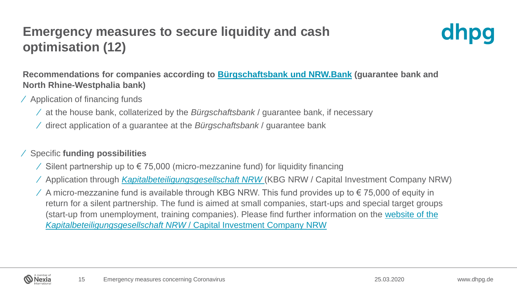## **Emergency measures to secure liquidity and cash optimisation (12)**



**Recommendations for companies according to [Bürgschaftsbank](https://www.bb-nrw.de/de/aktuelles/news/detail/Buergschaftsbank-und-NRW.BANK-helfen-Unternehmen-bei-Finanzierungsbedarf-durch-die-Corona-Krise/) und NRW.Bank (guarantee bank and North Rhine-Westphalia bank)**

- ⁄ Application of financing funds
	- ⁄ at the house bank, collaterized by the *Bürgschaftsbank* / guarantee bank, if necessary
	- ⁄ direct application of a guarantee at the *Bürgschaftsbank* / guarantee bank

#### ⁄ Specific **funding possibilities**

- ⁄ Silent partnership up to € 75,000 (micro-mezzanine fund) for liquidity financing
- ⁄ Application through *[Kapitalbeteiligungsgesellschaft](https://www.kbg-nrw.de/de/home/index.html) NRW* (KBG NRW / Capital Investment Company NRW)
- $\angle$  A micro-mezzanine fund is available through KBG NRW. This fund provides up to € 75,000 of equity in return for a silent partnership. The fund is aimed at small companies, start-ups and special target groups [\(start-up from unemployment, training companies\). Please find further information on the website of the](https://www.kbg-nrw.de/de/produkte/mikromezzaninfonds/)  *Kapitalbeteiligungsgesellschaft NRW* / Capital Investment Company NRW

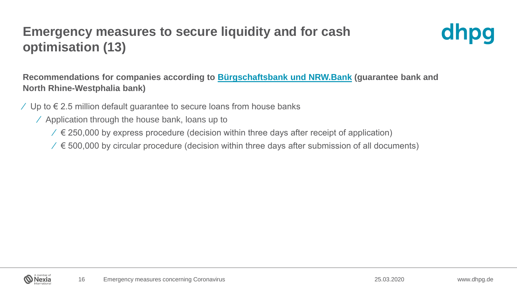## **Emergency measures to secure liquidity and for cash optimisation (13)**



**Recommendations for companies according to [Bürgschaftsbank](https://www.bb-nrw.de/de/aktuelles/news/detail/Buergschaftsbank-und-NRW.BANK-helfen-Unternehmen-bei-Finanzierungsbedarf-durch-die-Corona-Krise/) und NRW.Bank (guarantee bank and North Rhine-Westphalia bank)**

- $\angle$  Up to € 2.5 million default guarantee to secure loans from house banks
	- ⁄ Application through the house bank, loans up to
		- $\ell \in$  250,000 by express procedure (decision within three days after receipt of application)
		- $\ell \in$  500,000 by circular procedure (decision within three days after submission of all documents)

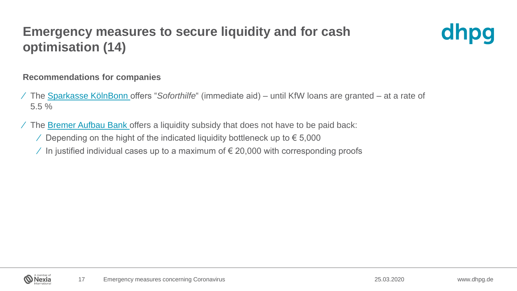## **Emergency measures to secure liquidity and for cash optimisation (14)**



#### **Recommendations for companies**

- ⁄ The [Sparkasse KölnBonn](https://www.sparkasse-koelnbonn.de/fi/home/aktionen/firmenkunden-informationen-corona.html) offers "*Soforthilfe*" (immediate aid) until KfW loans are granted at a rate of 5.5 %
- ⁄ The [Bremer Aufbau Bank o](https://www.bab-bremen.de/bab/corona-soforthilfe.html)ffers a liquidity subsidy that does not have to be paid back:
	- $\angle$  Depending on the hight of the indicated liquidity bottleneck up to € 5,000
	- $\angle$  In justified individual cases up to a maximum of € 20,000 with corresponding proofs

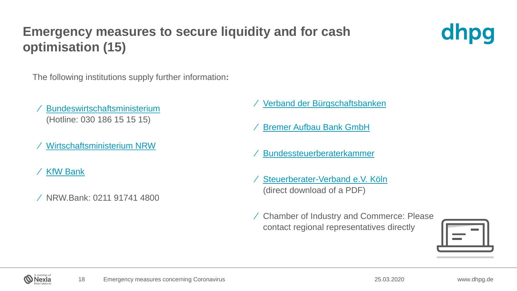## **Emergency measures to secure liquidity and for cash optimisation (15)**



The following institutions supply further information**:**

- ⁄ [Bundeswirtschaftsministerium](https://www.bmwi.de/Navigation/DE/Home/home.html) (Hotline: 030 186 15 15 15)
- ⁄ [Wirtschaftsministerium NRW](https://www.wirtschaft.nrw/coronavirus-informationen-ansprechpartner)
- ⁄ [KfW Bank](https://www.kfw.de/KfW-Konzern/Newsroom/Aktuelles/KfW-Corona-Hilfe-Unternehmen.html)
- ⁄ NRW.Bank: 0211 91741 4800
- ⁄ [Verband der Bürgschaftsbanken](https://www.vdb-info.de/mitglieder)
- ⁄ [Bremer Aufbau Bank GmbH](https://www.bab-bremen.de/wachsen/beratung/task-force.html#collapseTwo)
- ⁄ [Bundessteuerberaterkammer](https://www.bstbk.de/downloads/bstbk/presse-und-kommunikation/neuigkeiten/FAQ_Katalog_CORONA_KRISE.pdf)
- ⁄ [Steuerberater-Verband e.V. Köln](https://eur04.safelinks.protection.outlook.com/?url=https%3A%2F%2Fkoeln.os-seminare.de%2Freferer%3Fa%3DMzc0NSwxOTEwLDE2LDE4NjIsMjEw&data=02%7C01%7CKlaus.Zimmermann%40dhpg.de%7C19b847fc15e14a5ef44108d7cb26d343%7Cb0d50d73f0584b539a635a80fb099642%7C1%7C0%7C637201239923802595&sdata=MWmLTwfFWiNQBCZRQIWlzcngu0v7mbfkSTEtaDTw5Z0%3D&reserved=0) (direct download of a PDF)
- ⁄ Chamber of Industry and Commerce: Please contact regional representatives directly





25.03.2020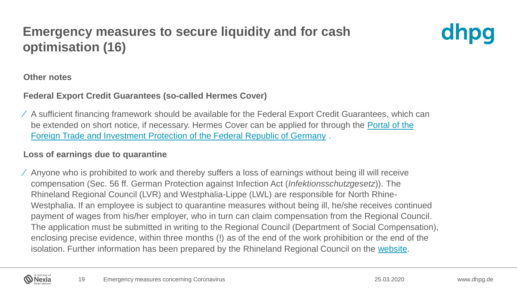## **Emergency measures to secure liquidity and for cash optimisation (16)**



#### **Other notes**

#### **Federal Export Credit Guarantees (so-called Hermes Cover)**

⁄ A sufficient financing framework should be available for the Federal Export Credit Guarantees, which can [be extended on short notice, if necessary. Hermes Cover can be applied for through the Portal of](http://www.agaportal.de/) the Foreign Trade and Investment Protection of the Federal Republic of Germany .

#### **Loss of earnings due to quarantine**

⁄ Anyone who is prohibited to work and thereby suffers a loss of earnings without being ill will receive compensation (Sec. 56 ff. German Protection against Infection Act (*Infektionsschutzgesetz*)). The Rhineland Regional Council (LVR) and Westphalia-Lippe (LWL) are responsible for North Rhine-Westphalia. If an employee is subject to quarantine measures without being ill, he/she receives continued payment of wages from his/her employer, who in turn can claim compensation from the Regional Council. The application must be submitted in writing to the Regional Council (Department of Social Compensation), enclosing precise evidence, within three months (!) as of the end of the work prohibition or the end of the isolation. Further information has been prepared by the Rhineland Regional Council on the [website](https://www.lvr.de/de/nav_main/soziales_1/soziale_entschaedigung/taetigkeitsverbot/taetigkeitsverbot.jsp).

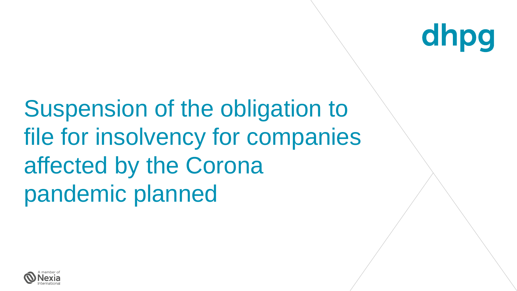

Suspension of the obligation to file for insolvency for companies affected by the Corona pandemic planned

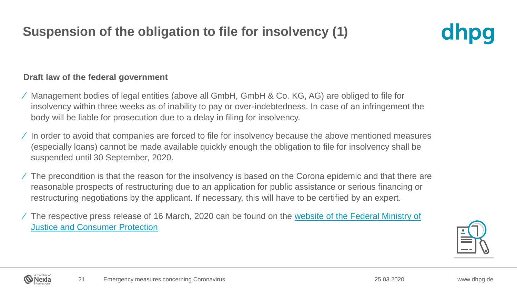## **Suspension of the obligation to file for insolvency (1)**

## dhpg

#### **Draft law of the federal government**

- ⁄ Management bodies of legal entities (above all GmbH, GmbH & Co. KG, AG) are obliged to file for insolvency within three weeks as of inability to pay or over-indebtedness. In case of an infringement the body will be liable for prosecution due to a delay in filing for insolvency.
- ⁄ In order to avoid that companies are forced to file for insolvency because the above mentioned measures (especially loans) cannot be made available quickly enough the obligation to file for insolvency shall be suspended until 30 September, 2020.
- ⁄ The precondition is that the reason for the insolvency is based on the Corona epidemic and that there are reasonable prospects of restructuring due to an application for public assistance or serious financing or restructuring negotiations by the applicant. If necessary, this will have to be certified by an expert.
- ⁄ [The respective press release of 16 March, 2020 can be found on the website of the Federal Ministry of](https://www.bmjv.de/SharedDocs/Pressemitteilungen/DE/2020/031620_Insolvenzantragspflicht.html)  Justice and Consumer Protection



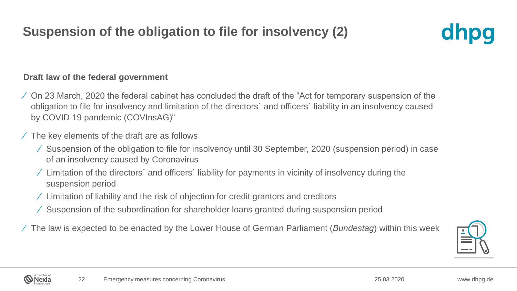## **Suspension of the obligation to file for insolvency (2)**

## dhpq

#### **Draft law of the federal government**

- ⁄ On 23 March, 2020 the federal cabinet has concluded the draft of the "Act for temporary suspension of the obligation to file for insolvency and limitation of the directors´ and officers´ liability in an insolvency caused by COVID 19 pandemic (COVInsAG)"
- ⁄ The key elements of the draft are as follows
	- ⁄ Suspension of the obligation to file for insolvency until 30 September, 2020 (suspension period) in case of an insolvency caused by Coronavirus
	- ⁄ Limitation of the directors´ and officers´ liability for payments in vicinity of insolvency during the suspension period
	- ⁄ Limitation of liability and the risk of objection for credit grantors and creditors
	- ⁄ Suspension of the subordination for shareholder loans granted during suspension period
- ⁄ The law is expected to be enacted by the Lower House of German Parliament (*Bundestag*) within this week



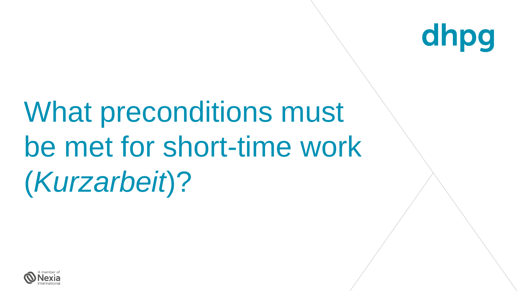

# What preconditions must be met for short-time work (*Kurzarbeit*)?

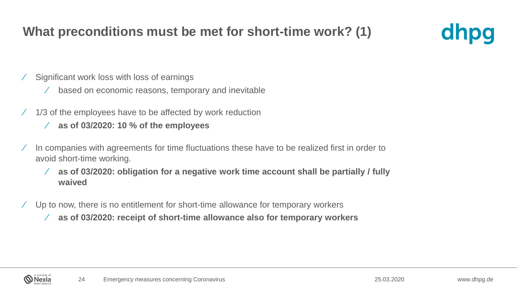#### **What preconditions must be met for short-time work? (1)**



- ⁄ Significant work loss with loss of earnings
	- ⁄ based on economic reasons, temporary and inevitable
- ⁄ 1/3 of the employees have to be affected by work reduction
	- ⁄ **as of 03/2020: 10 % of the employees**
- ⁄ In companies with agreements for time fluctuations these have to be realized first in order to avoid short-time working.
	- ⁄ **as of 03/2020: obligation for a negative work time account shall be partially / fully waived**
- ⁄ Up to now, there is no entitlement for short-time allowance for temporary workers
	- ⁄ **as of 03/2020: receipt of short-time allowance also for temporary workers**

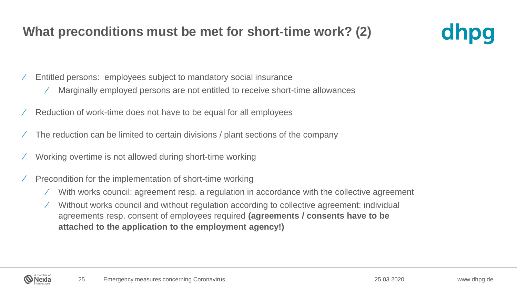#### **What preconditions must be met for short-time work? (2)**



- ⁄ Entitled persons: employees subject to mandatory social insurance
	- ⁄ Marginally employed persons are not entitled to receive short-time allowances
- ⁄ Reduction of work-time does not have to be equal for all employees
- ⁄ The reduction can be limited to certain divisions / plant sections of the company
- ⁄ Working overtime is not allowed during short-time working
- ⁄ Precondition for the implementation of short-time working
	- ⁄ With works council: agreement resp. a regulation in accordance with the collective agreement
	- ⁄ Without works council and without regulation according to collective agreement: individual agreements resp. consent of employees required **(agreements / consents have to be attached to the application to the employment agency!)**

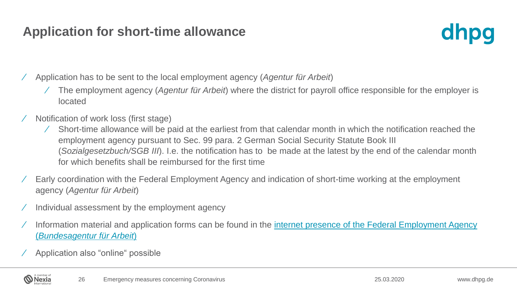#### **Application for short-time allowance**



⁄ Application has to be sent to the local employment agency (*Agentur für Arbeit*)

- ⁄ The employment agency (*Agentur für Arbeit*) where the district for payroll office responsible for the employer is located
- ⁄ Notification of work loss (first stage)
	- ⁄ Short-time allowance will be paid at the earliest from that calendar month in which the notification reached the employment agency pursuant to Sec. 99 para. 2 German Social Security Statute Book III (*Sozialgesetzbuch/SGB III*). I.e. the notification has to be made at the latest by the end of the calendar month for which benefits shall be reimbursed for the first time
- ⁄ Early coordination with the Federal Employment Agency and indication of short-time working at the employment agency (*Agentur für Arbeit*)
- ⁄ Individual assessment by the employment agency
- ⁄ Information material and application forms can be found in the [internet presence of the Federal Employment Agency](http://www.arbeitsagentur.de/news/kurzarbeit-wegen-corona-virus) (*Bundesagentur für Arbeit*)
- ⁄ Application also "online" possible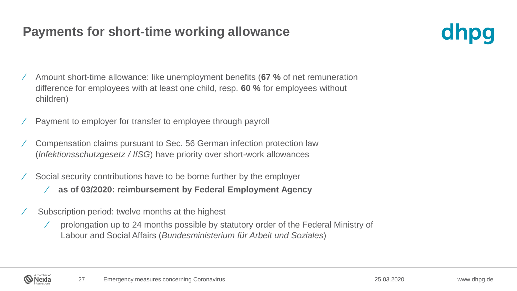#### **Payments for short-time working allowance**



- ⁄ Amount short-time allowance: like unemployment benefits (**67 %** of net remuneration difference for employees with at least one child, resp. **60 %** for employees without children)
- ⁄ Payment to employer for transfer to employee through payroll
- ⁄ Compensation claims pursuant to Sec. 56 German infection protection law (*Infektionsschutzgesetz / IfSG*) have priority over short-work allowances
- ⁄ Social security contributions have to be borne further by the employer
	- ⁄ **as of 03/2020: reimbursement by Federal Employment Agency**
- ⁄ Subscription period: twelve months at the highest
	- ⁄ prolongation up to 24 months possible by statutory order of the Federal Ministry of Labour and Social Affairs (*Bundesministerium für Arbeit und Soziales*)

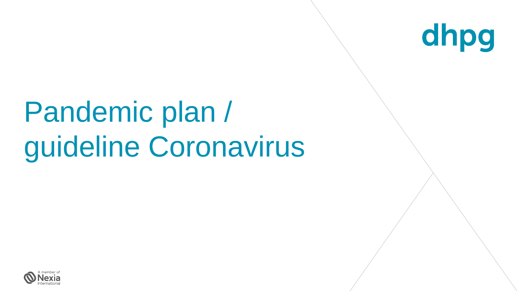

## Pandemic plan / guideline Coronavirus

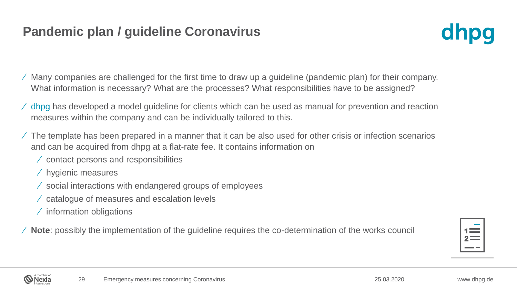#### **Pandemic plan / guideline Coronavirus**



- ⁄ Many companies are challenged for the first time to draw up a guideline (pandemic plan) for their company. What information is necessary? What are the processes? What responsibilities have to be assigned?
- ⁄ dhpg has developed a model guideline for clients which can be used as manual for prevention and reaction measures within the company and can be individually tailored to this.
- ⁄ The template has been prepared in a manner that it can be also used for other crisis or infection scenarios and can be acquired from dhpg at a flat-rate fee. It contains information on
	- ⁄ contact persons and responsibilities
	- ⁄ hygienic measures
	- ⁄ social interactions with endangered groups of employees
	- ⁄ catalogue of measures and escalation levels
	- ⁄ information obligations

⁄ **Note**: possibly the implementation of the guideline requires the co-determination of the works council

| ۰ |  |
|---|--|

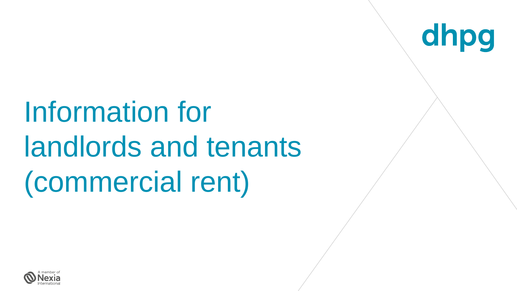Information for landlords and tenants (commercial rent)

dhpg

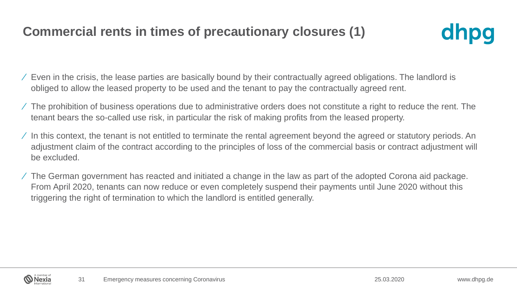#### **Commercial rents in times of precautionary closures (1)**



- ⁄ Even in the crisis, the lease parties are basically bound by their contractually agreed obligations. The landlord is obliged to allow the leased property to be used and the tenant to pay the contractually agreed rent.
- $\angle$  The prohibition of business operations due to administrative orders does not constitute a right to reduce the rent. The tenant bears the so-called use risk, in particular the risk of making profits from the leased property.
- $\angle$  In this context, the tenant is not entitled to terminate the rental agreement beyond the agreed or statutory periods. An adjustment claim of the contract according to the principles of loss of the commercial basis or contract adjustment will be excluded.
- ⁄ The German government has reacted and initiated a change in the law as part of the adopted Corona aid package. From April 2020, tenants can now reduce or even completely suspend their payments until June 2020 without this triggering the right of termination to which the landlord is entitled generally.

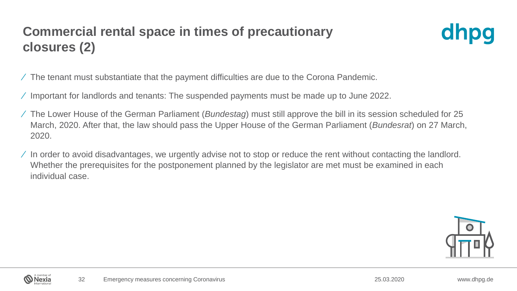## **Commercial rental space in times of precautionary closures (2)**



- ⁄ The tenant must substantiate that the payment difficulties are due to the Corona Pandemic.
- ⁄ Important for landlords and tenants: The suspended payments must be made up to June 2022.
- ⁄ The Lower House of the German Parliament (*Bundestag*) must still approve the bill in its session scheduled for 25 March, 2020. After that, the law should pass the Upper House of the German Parliament (*Bundesrat*) on 27 March, 2020.
- ⁄ In order to avoid disadvantages, we urgently advise not to stop or reduce the rent without contacting the landlord. Whether the prerequisites for the postponement planned by the legislator are met must be examined in each individual case.

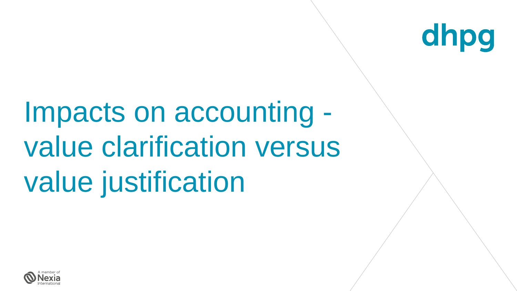

# Impacts on accounting value clarification versus value justification

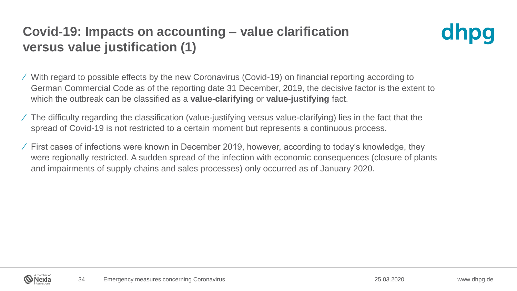## **Covid-19: Impacts on accounting – value clarification versus value justification (1)**



⁄ With regard to possible effects by the new Coronavirus (Covid-19) on financial reporting according to German Commercial Code as of the reporting date 31 December, 2019, the decisive factor is the extent to which the outbreak can be classified as a **value-clarifying** or **value-justifying** fact.

- ⁄ The difficulty regarding the classification (value-justifying versus value-clarifying) lies in the fact that the spread of Covid-19 is not restricted to a certain moment but represents a continuous process.
- ⁄ First cases of infections were known in December 2019, however, according to today's knowledge, they were regionally restricted. A sudden spread of the infection with economic consequences (closure of plants and impairments of supply chains and sales processes) only occurred as of January 2020.

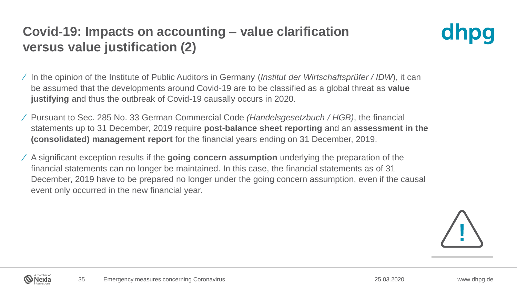## **Covid-19: Impacts on accounting – value clarification versus value justification (2)**



⁄ In the opinion of the Institute of Public Auditors in Germany (*Institut der Wirtschaftsprüfer / IDW*), it can be assumed that the developments around Covid-19 are to be classified as a global threat as **value justifying** and thus the outbreak of Covid-19 causally occurs in 2020.

- ⁄ Pursuant to Sec. 285 No. 33 German Commercial Code *(Handelsgesetzbuch / HGB)*, the financial statements up to 31 December, 2019 require **post-balance sheet reporting** and an **assessment in the (consolidated) management report** for the financial years ending on 31 December, 2019.
- ⁄ A significant exception results if the **going concern assumption** underlying the preparation of the financial statements can no longer be maintained. In this case, the financial statements as of 31 December, 2019 have to be prepared no longer under the going concern assumption, even if the causal event only occurred in the new financial year.



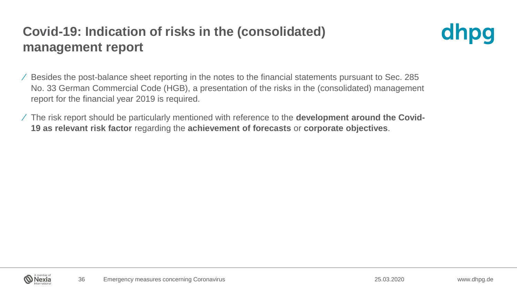### **Covid-19: Indication of risks in the (consolidated) management report**



⁄ Besides the post-balance sheet reporting in the notes to the financial statements pursuant to Sec. 285 No. 33 German Commercial Code (HGB), a presentation of the risks in the (consolidated) management report for the financial year 2019 is required.

⁄ The risk report should be particularly mentioned with reference to the **development around the Covid-19 as relevant risk factor** regarding the **achievement of forecasts** or **corporate objectives**.

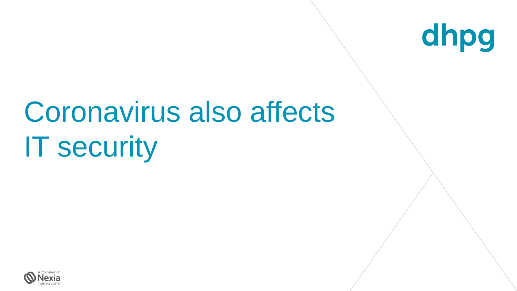

# Coronavirus also affects IT security